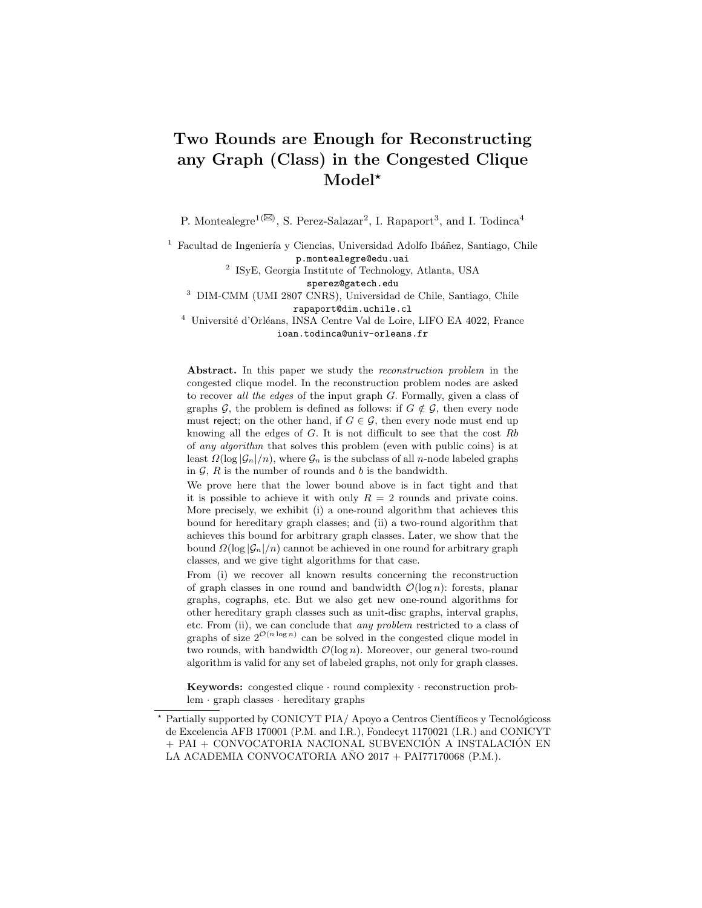# Two Rounds are Enough for Reconstructing any Graph (Class) in the Congested Clique Model\*

P. Montealegre<sup>1( $\boxtimes$ )</sup>, S. Perez-Salazar<sup>2</sup>, I. Rapaport<sup>3</sup>, and I. Todinca<sup>4</sup>

Facultad de Ingeniería y Ciencias, Universidad Adolfo Ibáñez, Santiago, Chile p.montealegre@edu.uai

> 2 ISyE, Georgia Institute of Technology, Atlanta, USA sperez@gatech.edu

<sup>3</sup> DIM-CMM (UMI 2807 CNRS), Universidad de Chile, Santiago, Chile rapaport@dim.uchile.cl

<sup>4</sup> Université d'Orléans, INSA Centre Val de Loire, LIFO EA 4022, France ioan.todinca@univ-orleans.fr

Abstract. In this paper we study the *reconstruction problem* in the congested clique model. In the reconstruction problem nodes are asked to recover all the edges of the input graph G. Formally, given a class of graphs G, the problem is defined as follows: if  $G \notin \mathcal{G}$ , then every node must reject; on the other hand, if  $G \in \mathcal{G}$ , then every node must end up knowing all the edges of  $G$ . It is not difficult to see that the cost  $Rb$ of any algorithm that solves this problem (even with public coins) is at least  $\Omega(\log |\mathcal{G}_n|/n)$ , where  $\mathcal{G}_n$  is the subclass of all n-node labeled graphs in  $G$ ,  $R$  is the number of rounds and  $b$  is the bandwidth.

We prove here that the lower bound above is in fact tight and that it is possible to achieve it with only  $R = 2$  rounds and private coins. More precisely, we exhibit (i) a one-round algorithm that achieves this bound for hereditary graph classes; and (ii) a two-round algorithm that achieves this bound for arbitrary graph classes. Later, we show that the bound  $\Omega(\log |\mathcal{G}_n|/n)$  cannot be achieved in one round for arbitrary graph classes, and we give tight algorithms for that case.

From (i) we recover all known results concerning the reconstruction of graph classes in one round and bandwidth  $\mathcal{O}(\log n)$ : forests, planar graphs, cographs, etc. But we also get new one-round algorithms for other hereditary graph classes such as unit-disc graphs, interval graphs, etc. From (ii), we can conclude that any problem restricted to a class of graphs of size  $2^{\mathcal{O}(n \log n)}$  can be solved in the congested clique model in two rounds, with bandwidth  $\mathcal{O}(\log n)$ . Moreover, our general two-round algorithm is valid for any set of labeled graphs, not only for graph classes.

Keywords: congested clique · round complexity · reconstruction problem · graph classes · hereditary graphs

<sup>\*</sup> Partially supported by CONICYT PIA/ Apoyo a Centros Científicos y Tecnológicoss de Excelencia AFB 170001 (P.M. and I.R.), Fondecyt 1170021 (I.R.) and CONICYT + PAI + CONVOCATORIA NACIONAL SUBVENCIÓN A INSTALACIÓN EN LA ACADEMIA CONVOCATORIA AÑO 2017 + PAI77170068 (P.M.).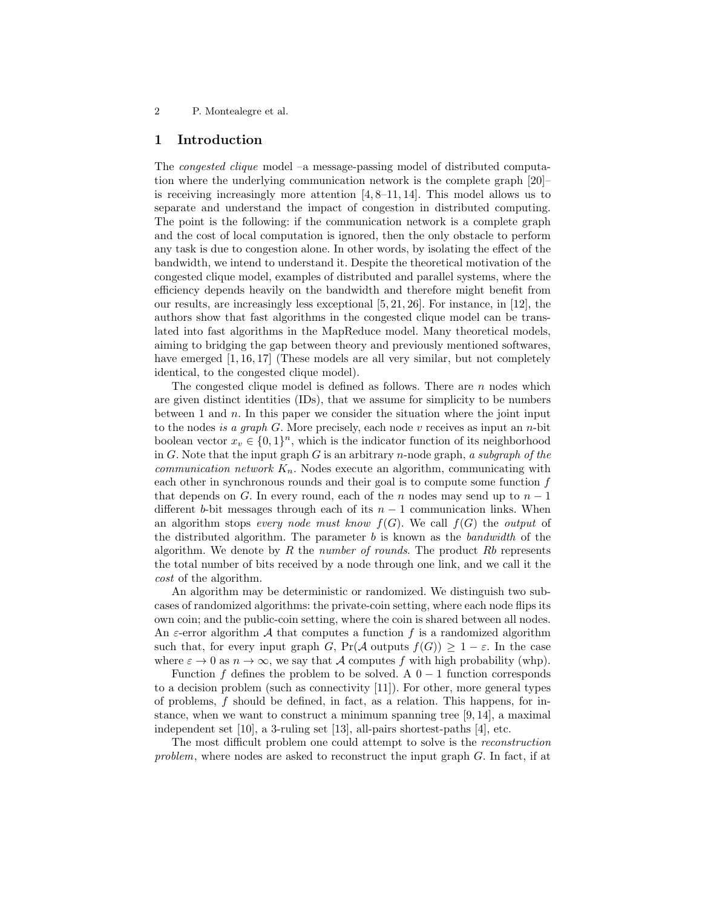# 1 Introduction

The congested clique model –a message-passing model of distributed computation where the underlying communication network is the complete graph [20]– is receiving increasingly more attention [4, 8–11, 14]. This model allows us to separate and understand the impact of congestion in distributed computing. The point is the following: if the communication network is a complete graph and the cost of local computation is ignored, then the only obstacle to perform any task is due to congestion alone. In other words, by isolating the effect of the bandwidth, we intend to understand it. Despite the theoretical motivation of the congested clique model, examples of distributed and parallel systems, where the efficiency depends heavily on the bandwidth and therefore might benefit from our results, are increasingly less exceptional  $[5, 21, 26]$ . For instance, in  $[12]$ , the authors show that fast algorithms in the congested clique model can be translated into fast algorithms in the MapReduce model. Many theoretical models, aiming to bridging the gap between theory and previously mentioned softwares, have emerged [1, 16, 17] (These models are all very similar, but not completely identical, to the congested clique model).

The congested clique model is defined as follows. There are  $n$  nodes which are given distinct identities (IDs), that we assume for simplicity to be numbers between 1 and  $n$ . In this paper we consider the situation where the joint input to the nodes is a graph  $G$ . More precisely, each node v receives as input an n-bit boolean vector  $x_v \in \{0,1\}^n$ , which is the indicator function of its neighborhood in G. Note that the input graph  $G$  is an arbitrary n-node graph, a subgraph of the communication network  $K_n$ . Nodes execute an algorithm, communicating with each other in synchronous rounds and their goal is to compute some function  $f$ that depends on G. In every round, each of the n nodes may send up to  $n-1$ different b-bit messages through each of its  $n-1$  communication links. When an algorithm stops every node must know  $f(G)$ . We call  $f(G)$  the output of the distributed algorithm. The parameter  $b$  is known as the *bandwidth* of the algorithm. We denote by R the number of rounds. The product  $Rb$  represents the total number of bits received by a node through one link, and we call it the cost of the algorithm.

An algorithm may be deterministic or randomized. We distinguish two subcases of randomized algorithms: the private-coin setting, where each node flips its own coin; and the public-coin setting, where the coin is shared between all nodes. An  $\varepsilon$ -error algorithm A that computes a function f is a randomized algorithm such that, for every input graph G,  $Pr(A \text{ outputs } f(G)) \geq 1 - \varepsilon$ . In the case where  $\varepsilon \to 0$  as  $n \to \infty$ , we say that A computes f with high probability (whp).

Function f defines the problem to be solved. A  $0-1$  function corresponds to a decision problem (such as connectivity [11]). For other, more general types of problems, f should be defined, in fact, as a relation. This happens, for instance, when we want to construct a minimum spanning tree [9, 14], a maximal independent set [10], a 3-ruling set [13], all-pairs shortest-paths [4], etc.

The most difficult problem one could attempt to solve is the reconstruction problem, where nodes are asked to reconstruct the input graph G. In fact, if at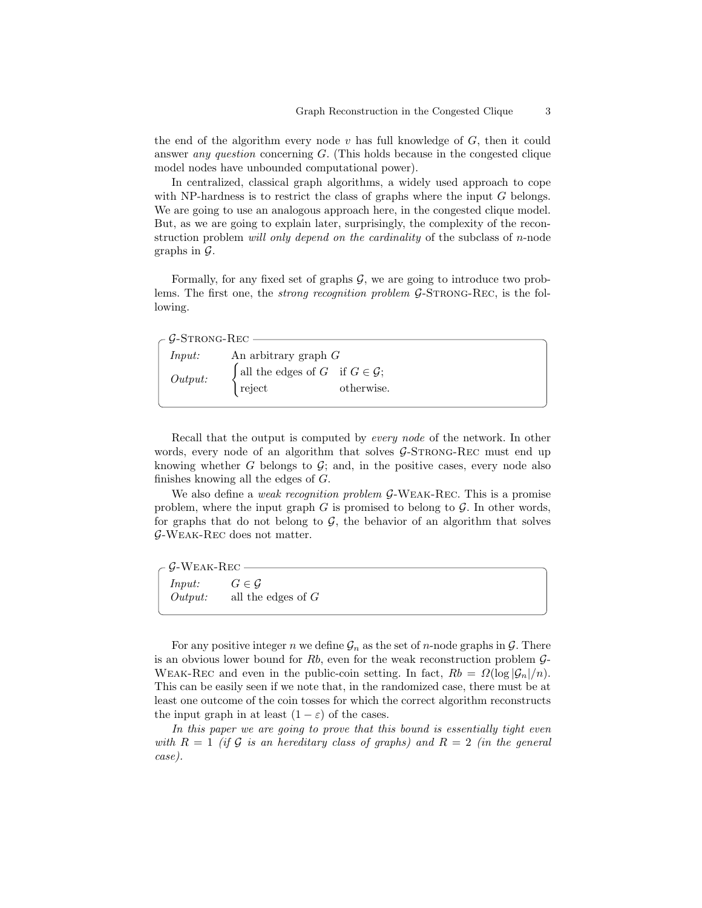the end of the algorithm every node  $v$  has full knowledge of  $G$ , then it could answer any question concerning G. (This holds because in the congested clique model nodes have unbounded computational power).

In centralized, classical graph algorithms, a widely used approach to cope with NP-hardness is to restrict the class of graphs where the input  $G$  belongs. We are going to use an analogous approach here, in the congested clique model. But, as we are going to explain later, surprisingly, the complexity of the reconstruction problem *will only depend on the cardinality* of the subclass of *n*-node graphs in  $\mathcal{G}$ .

Formally, for any fixed set of graphs  $G$ , we are going to introduce two problems. The first one, the *strong recognition problem G*-STRONG-REC, is the following.

| - $\mathcal{G}\text{-STRONG-REC}$ |                                                          |            |  |
|-----------------------------------|----------------------------------------------------------|------------|--|
| Input:                            | An arbitrary graph $G$                                   |            |  |
| Output:                           | [all the edges of $G$ if $G \in \mathcal{G}$ ;<br>reject | otherwise. |  |
|                                   |                                                          |            |  |

Recall that the output is computed by every node of the network. In other words, every node of an algorithm that solves  $G$ -STRONG-REC must end up knowing whether  $G$  belongs to  $G$ ; and, in the positive cases, every node also finishes knowing all the edges of G.

We also define a *weak recognition problem G*-WEAK-REC. This is a promise problem, where the input graph  $G$  is promised to belong to  $\mathcal G$ . In other words, for graphs that do not belong to  $G$ , the behavior of an algorithm that solves G-Weak-Rec does not matter.

| $\rm \sim$ G-Weak-Rec $-$ |                      |  |
|---------------------------|----------------------|--|
| Input:                    | $G \in \mathcal{G}$  |  |
| Output:                   | all the edges of $G$ |  |

For any positive integer n we define  $\mathcal{G}_n$  as the set of n-node graphs in  $\mathcal{G}$ . There is an obvious lower bound for Rb, even for the weak reconstruction problem  $\mathcal{G}$ -WEAK-REC and even in the public-coin setting. In fact,  $Rb = \Omega(\log |\mathcal{G}_n|/n)$ . This can be easily seen if we note that, in the randomized case, there must be at least one outcome of the coin tosses for which the correct algorithm reconstructs the input graph in at least  $(1 - \varepsilon)$  of the cases.

In this paper we are going to prove that this bound is essentially tight even with  $R = 1$  (if G is an hereditary class of graphs) and  $R = 2$  (in the general case).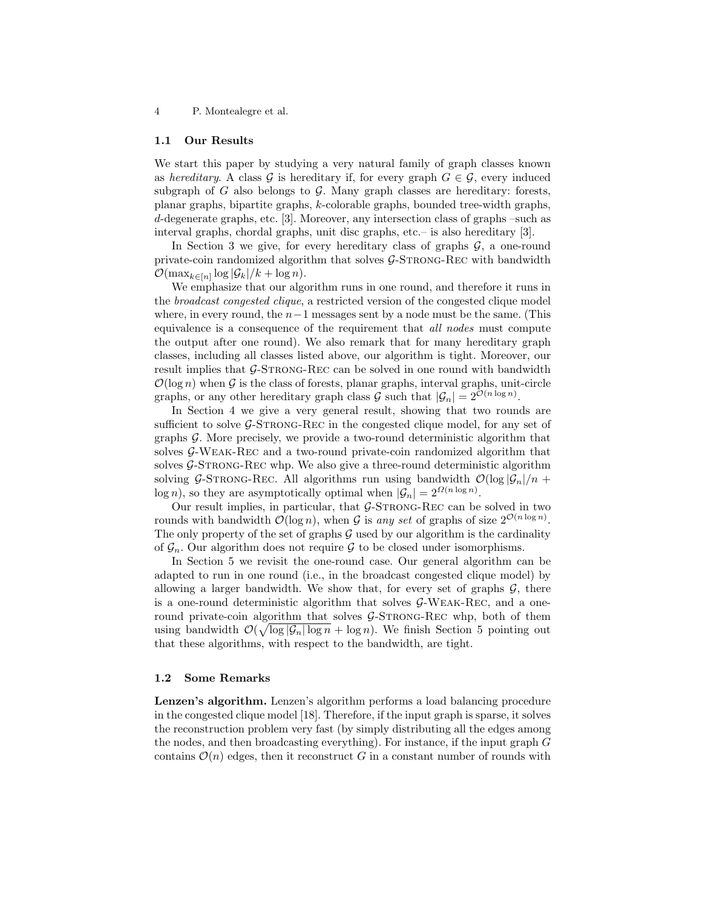#### 1.1 Our Results

We start this paper by studying a very natural family of graph classes known as hereditary. A class G is hereditary if, for every graph  $G \in \mathcal{G}$ , every induced subgraph of G also belongs to G. Many graph classes are hereditary: forests, planar graphs, bipartite graphs, k-colorable graphs, bounded tree-width graphs, d-degenerate graphs, etc. [3]. Moreover, any intersection class of graphs –such as interval graphs, chordal graphs, unit disc graphs, etc.– is also hereditary [3].

In Section 3 we give, for every hereditary class of graphs  $\mathcal{G}$ , a one-round private-coin randomized algorithm that solves  $G$ -STRONG-REC with bandwidth  $\mathcal{O}(\max_{k \in [n]} \log |\mathcal{G}_k|/k + \log n).$ 

We emphasize that our algorithm runs in one round, and therefore it runs in the broadcast congested clique, a restricted version of the congested clique model where, in every round, the  $n-1$  messages sent by a node must be the same. (This equivalence is a consequence of the requirement that all nodes must compute the output after one round). We also remark that for many hereditary graph classes, including all classes listed above, our algorithm is tight. Moreover, our result implies that  $\mathcal{G}\text{-STRONG-REC}$  can be solved in one round with bandwidth  $\mathcal{O}(\log n)$  when G is the class of forests, planar graphs, interval graphs, unit-circle graphs, or any other hereditary graph class  $\mathcal G$  such that  $|\mathcal G_n| = 2^{\mathcal O(n \log n)}$ .

In Section 4 we give a very general result, showing that two rounds are sufficient to solve G-STRONG-REC in the congested clique model, for any set of graphs G. More precisely, we provide a two-round deterministic algorithm that solves G-Weak-Rec and a two-round private-coin randomized algorithm that solves  $\mathcal{G}\text{-STRONG-REC}$  whp. We also give a three-round deterministic algorithm solving G-STRONG-REC. All algorithms run using bandwidth  $\mathcal{O}(\log |\mathcal{G}_n|/n +$ log n), so they are asymptotically optimal when  $|\mathcal{G}_n| = 2^{\Omega(n \log n)}$ .

Our result implies, in particular, that  $\mathcal{G}\text{-STRONG-REC}$  can be solved in two rounds with bandwidth  $\mathcal{O}(\log n)$ , when G is any set of graphs of size  $2^{\mathcal{O}(n \log n)}$ . The only property of the set of graphs  $G$  used by our algorithm is the cardinality of  $\mathcal{G}_n$ . Our algorithm does not require  $\mathcal G$  to be closed under isomorphisms.

In Section 5 we revisit the one-round case. Our general algorithm can be adapted to run in one round (i.e., in the broadcast congested clique model) by allowing a larger bandwidth. We show that, for every set of graphs  $\mathcal{G}$ , there is a one-round deterministic algorithm that solves  $G-WEAK-REC$ , and a oneround private-coin algorithm that solves  $G$ -STRONG-REC whp, both of them using bandwidth  $\mathcal{O}(\sqrt{\log |\mathcal{G}_n| \log n} + \log n)$ . We finish Section 5 pointing out that these algorithms, with respect to the bandwidth, are tight.

#### 1.2 Some Remarks

Lenzen's algorithm. Lenzen's algorithm performs a load balancing procedure in the congested clique model [18]. Therefore, if the input graph is sparse, it solves the reconstruction problem very fast (by simply distributing all the edges among the nodes, and then broadcasting everything). For instance, if the input graph  $G$ contains  $\mathcal{O}(n)$  edges, then it reconstruct G in a constant number of rounds with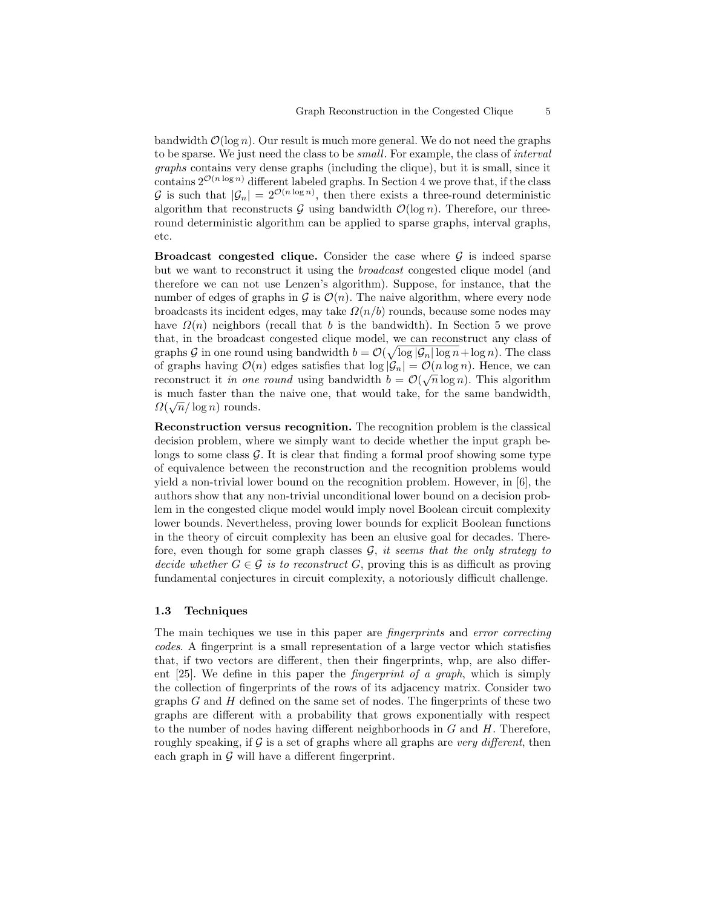bandwidth  $\mathcal{O}(\log n)$ . Our result is much more general. We do not need the graphs to be sparse. We just need the class to be small. For example, the class of interval graphs contains very dense graphs (including the clique), but it is small, since it contains  $2^{\mathcal{O}(n \log n)}$  different labeled graphs. In Section 4 we prove that, if the class G is such that  $|\mathcal{G}_n| = 2^{\mathcal{O}(n \log n)}$ , then there exists a three-round deterministic algorithm that reconstructs  $G$  using bandwidth  $\mathcal{O}(\log n)$ . Therefore, our threeround deterministic algorithm can be applied to sparse graphs, interval graphs, etc.

**Broadcast congested clique.** Consider the case where  $\mathcal{G}$  is indeed sparse but we want to reconstruct it using the broadcast congested clique model (and therefore we can not use Lenzen's algorithm). Suppose, for instance, that the number of edges of graphs in  $\mathcal G$  is  $\mathcal O(n)$ . The naive algorithm, where every node broadcasts its incident edges, may take  $\Omega(n/b)$  rounds, because some nodes may have  $\Omega(n)$  neighbors (recall that b is the bandwidth). In Section 5 we prove that, in the broadcast congested clique model, we can reconstruct any class of graphs G in one round using bandwidth  $b = \mathcal{O}(\sqrt{\log |\mathcal{G}_n| \log n} + \log n)$ . The class of graphs having  $\mathcal{O}(n)$  edges satisfies that  $\log |\mathcal{G}_n| = \mathcal{O}(n \log n)$ . Hence, we can reconstruct it in one round using bandwidth  $b = \mathcal{O}(\sqrt{n}\log n)$ . This algorithm is much faster than the naive one, that would take, for the same bandwidth,  $\alpha$  $\Omega(\sqrt{n}/\log n)$  rounds.

Reconstruction versus recognition. The recognition problem is the classical decision problem, where we simply want to decide whether the input graph belongs to some class  $G$ . It is clear that finding a formal proof showing some type of equivalence between the reconstruction and the recognition problems would yield a non-trivial lower bound on the recognition problem. However, in [6], the authors show that any non-trivial unconditional lower bound on a decision problem in the congested clique model would imply novel Boolean circuit complexity lower bounds. Nevertheless, proving lower bounds for explicit Boolean functions in the theory of circuit complexity has been an elusive goal for decades. Therefore, even though for some graph classes  $G$ , it seems that the only strategy to decide whether  $G \in \mathcal{G}$  is to reconstruct G, proving this is as difficult as proving fundamental conjectures in circuit complexity, a notoriously difficult challenge.

### 1.3 Techniques

The main techiques we use in this paper are *fingerprints* and *error correcting* codes. A fingerprint is a small representation of a large vector which statisfies that, if two vectors are different, then their fingerprints, whp, are also different [25]. We define in this paper the fingerprint of a graph, which is simply the collection of fingerprints of the rows of its adjacency matrix. Consider two graphs  $G$  and  $H$  defined on the same set of nodes. The fingerprints of these two graphs are different with a probability that grows exponentially with respect to the number of nodes having different neighborhoods in  $G$  and  $H$ . Therefore, roughly speaking, if  $G$  is a set of graphs where all graphs are very different, then each graph in  $\mathcal G$  will have a different fingerprint.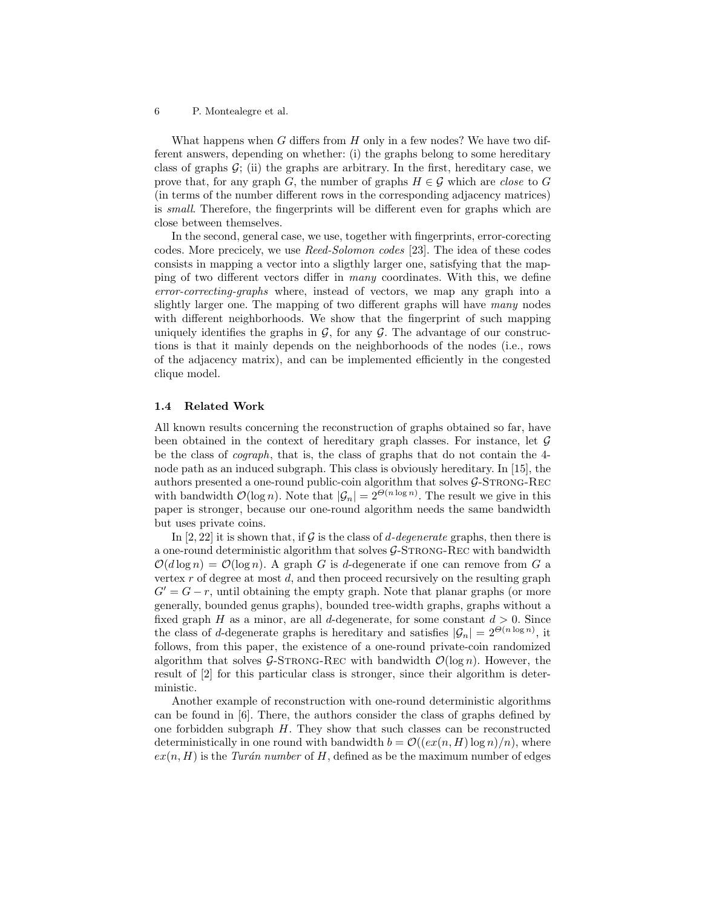What happens when  $G$  differs from  $H$  only in a few nodes? We have two different answers, depending on whether: (i) the graphs belong to some hereditary class of graphs  $\mathcal{G}$ ; (ii) the graphs are arbitrary. In the first, hereditary case, we prove that, for any graph G, the number of graphs  $H \in \mathcal{G}$  which are *close* to G (in terms of the number different rows in the corresponding adjacency matrices) is small. Therefore, the fingerprints will be different even for graphs which are close between themselves.

In the second, general case, we use, together with fingerprints, error-corecting codes. More precicely, we use Reed-Solomon codes [23]. The idea of these codes consists in mapping a vector into a sligthly larger one, satisfying that the mapping of two different vectors differ in many coordinates. With this, we define error-correcting-graphs where, instead of vectors, we map any graph into a slightly larger one. The mapping of two different graphs will have many nodes with different neighborhoods. We show that the fingerprint of such mapping uniquely identifies the graphs in  $\mathcal{G}$ , for any  $\mathcal{G}$ . The advantage of our constructions is that it mainly depends on the neighborhoods of the nodes (i.e., rows of the adjacency matrix), and can be implemented efficiently in the congested clique model.

### 1.4 Related Work

All known results concerning the reconstruction of graphs obtained so far, have been obtained in the context of hereditary graph classes. For instance, let  $\mathcal G$ be the class of cograph, that is, the class of graphs that do not contain the 4 node path as an induced subgraph. This class is obviously hereditary. In [15], the authors presented a one-round public-coin algorithm that solves  $\mathcal{G}\text{-STRONG-REC}$ with bandwidth  $\mathcal{O}(\log n)$ . Note that  $|\mathcal{G}_n| = 2^{\Theta(n \log n)}$ . The result we give in this paper is stronger, because our one-round algorithm needs the same bandwidth but uses private coins.

In [2, 22] it is shown that, if G is the class of d-degenerate graphs, then there is a one-round deterministic algorithm that solves  $G$ -STRONG-REC with bandwidth  $\mathcal{O}(d \log n) = \mathcal{O}(\log n)$ . A graph G is d-degenerate if one can remove from G a vertex  $r$  of degree at most  $d$ , and then proceed recursively on the resulting graph  $G' = G - r$ , until obtaining the empty graph. Note that planar graphs (or more generally, bounded genus graphs), bounded tree-width graphs, graphs without a fixed graph H as a minor, are all d-degenerate, for some constant  $d > 0$ . Since the class of d-degenerate graphs is hereditary and satisfies  $|\mathcal{G}_n| = 2^{\Theta(n \log n)}$ , it follows, from this paper, the existence of a one-round private-coin randomized algorithm that solves G-STRONG-REC with bandwidth  $\mathcal{O}(\log n)$ . However, the result of [2] for this particular class is stronger, since their algorithm is deterministic.

Another example of reconstruction with one-round deterministic algorithms can be found in [6]. There, the authors consider the class of graphs defined by one forbidden subgraph  $H$ . They show that such classes can be reconstructed deterministically in one round with bandwidth  $b = \mathcal{O}((ex(n, H) \log n)/n)$ , where  $ex(n, H)$  is the Turán number of H, defined as be the maximum number of edges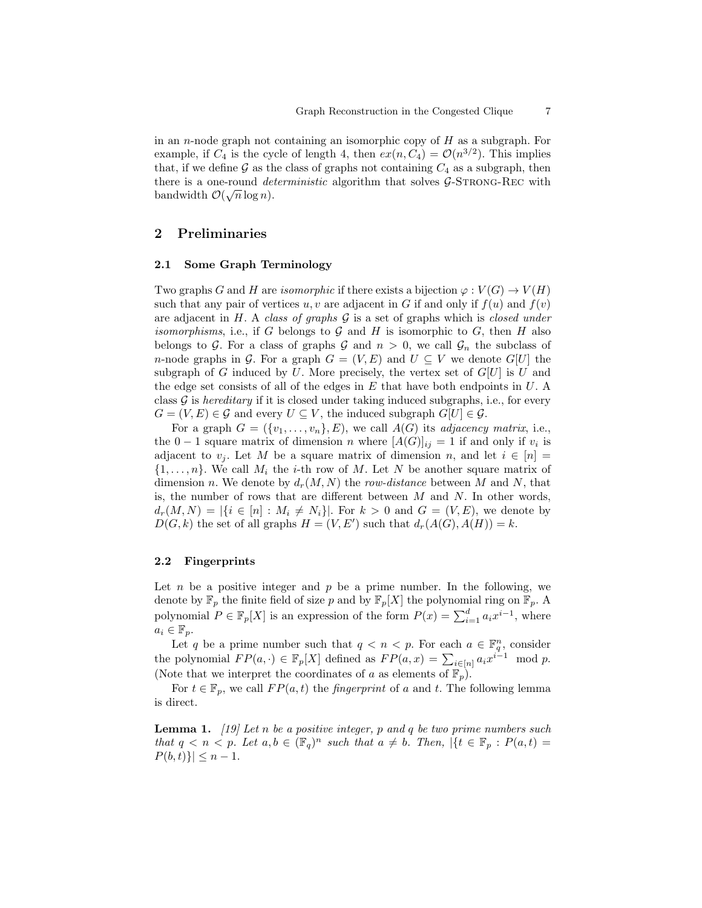in an *n*-node graph not containing an isomorphic copy of  $H$  as a subgraph. For example, if  $C_4$  is the cycle of length 4, then  $ex(n, C_4) = \mathcal{O}(n^{3/2})$ . This implies that, if we define  $\mathcal G$  as the class of graphs not containing  $C_4$  as a subgraph, then there is a one-round *deterministic* algorithm that solves  $G$ -STRONG-REC with there is a one-round *ue*.<br>bandwidth  $\mathcal{O}(\sqrt{n}\log n)$ .

# 2 Preliminaries

## 2.1 Some Graph Terminology

Two graphs G and H are *isomorphic* if there exists a bijection  $\varphi: V(G) \to V(H)$ such that any pair of vertices u, v are adjacent in G if and only if  $f(u)$  and  $f(v)$ are adjacent in H. A class of graphs  $G$  is a set of graphs which is closed under *isomorphisms*, i.e., if G belongs to G and H is isomorphic to G, then H also belongs to G. For a class of graphs G and  $n > 0$ , we call  $\mathcal{G}_n$  the subclass of n-node graphs in G. For a graph  $G = (V, E)$  and  $U \subseteq V$  we denote  $G[U]$  the subgraph of G induced by U. More precisely, the vertex set of  $G[U]$  is U and the edge set consists of all of the edges in  $E$  that have both endpoints in  $U$ . A class  $G$  is *hereditary* if it is closed under taking induced subgraphs, i.e., for every  $G = (V, E) \in \mathcal{G}$  and every  $U \subseteq V$ , the induced subgraph  $G[U] \in \mathcal{G}$ .

For a graph  $G = (\{v_1, \ldots, v_n\}, E)$ , we call  $A(G)$  its *adjacency matrix*, i.e., the 0 − 1 square matrix of dimension *n* where  $[A(G)]_{ij} = 1$  if and only if  $v_i$  is adjacent to  $v_i$ . Let M be a square matrix of dimension n, and let  $i \in [n] =$  $\{1, \ldots, n\}$ . We call  $M_i$  the *i*-th row of M. Let N be another square matrix of dimension n. We denote by  $d_r(M, N)$  the row-distance between M and N, that is, the number of rows that are different between  $M$  and  $N$ . In other words,  $d_r(M, N) = |\{i \in [n] : M_i \neq N_i\}|.$  For  $k > 0$  and  $G = (V, E)$ , we denote by  $D(G, k)$  the set of all graphs  $H = (V, E')$  such that  $d_r(A(G), A(H)) = k$ .

## 2.2 Fingerprints

Let  $n$  be a positive integer and  $p$  be a prime number. In the following, we denote by  $\mathbb{F}_p$  the finite field of size p and by  $\mathbb{F}_p[X]$  the polynomial ring on  $\mathbb{F}_p$ . A polynomial  $P \in \mathbb{F}_p[X]$  is an expression of the form  $P(x) = \sum_{i=1}^d a_i x^{i-1}$ , where  $a_i \in \mathbb{F}_p$ .

Let q be a prime number such that  $q < n < p$ . For each  $a \in \mathbb{F}_q^n$ , consider the polynomial  $FP(a, \cdot) \in \mathbb{F}_p[X]$  defined as  $FP(a, x) = \sum_{i \in [n]} a_i x^{i-1} \mod p$ . (Note that we interpret the coordinates of a as elements of  $\mathbb{F}_p$ ).

For  $t \in \mathbb{F}_p$ , we call  $FP(a, t)$  the *fingerprint* of a and t. The following lemma is direct.

**Lemma 1.** [19] Let n be a positive integer, p and q be two prime numbers such that  $q \lt n \lt p$ . Let  $a, b \in (\mathbb{F}_q)^n$  such that  $a \neq b$ . Then,  $\vert \{t \in \mathbb{F}_p : P(a, t) =$  $P(b, t)$ }  $\leq n - 1$ .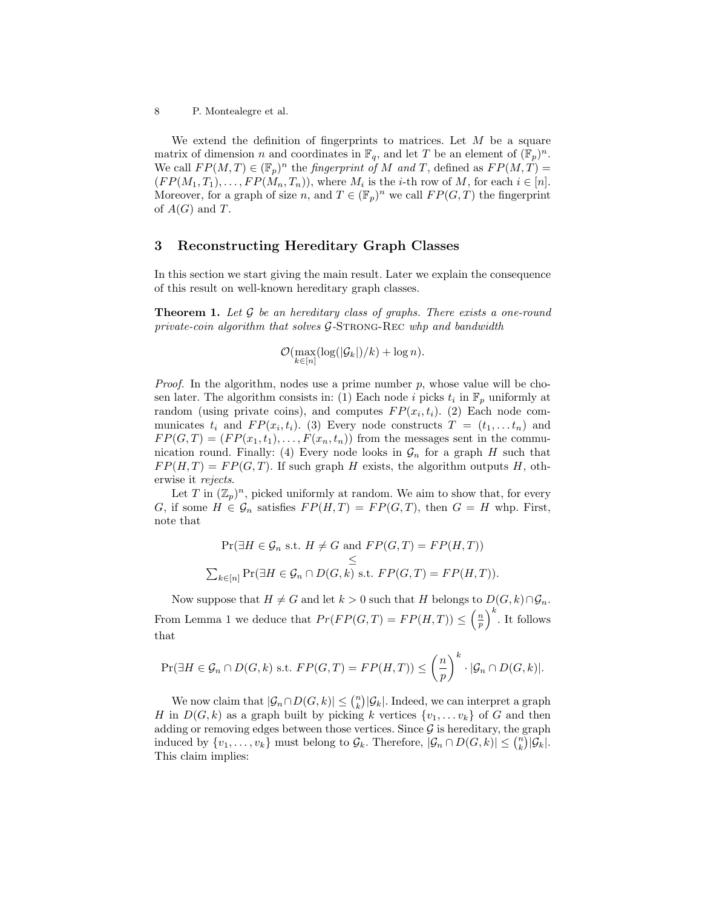We extend the definition of fingerprints to matrices. Let  $M$  be a square matrix of dimension *n* and coordinates in  $\mathbb{F}_q$ , and let *T* be an element of  $(\mathbb{F}_p)^n$ . We call  $FP(M,T) \in (\mathbb{F}_p)^n$  the *fingerprint of* M and T, defined as  $FP(M,T)$  $(FP(M_1, T_1), \ldots, FP(M_n, T_n))$ , where  $M_i$  is the *i*-th row of  $M$ , for each  $i \in [n]$ . Moreover, for a graph of size n, and  $T \in (\mathbb{F}_p)^n$  we call  $FP(G,T)$  the fingerprint of  $A(G)$  and T.

# 3 Reconstructing Hereditary Graph Classes

In this section we start giving the main result. Later we explain the consequence of this result on well-known hereditary graph classes.

**Theorem 1.** Let  $\mathcal G$  be an hereditary class of graphs. There exists a one-round private-coin algorithm that solves  $G$ -STRONG-REC whp and bandwidth

$$
\mathcal{O}(\max_{k\in[n]}(\log(|\mathcal{G}_k|)/k)+\log n).
$$

*Proof.* In the algorithm, nodes use a prime number  $p$ , whose value will be chosen later. The algorithm consists in: (1) Each node i picks  $t_i$  in  $\mathbb{F}_p$  uniformly at random (using private coins), and computes  $FP(x_i, t_i)$ . (2) Each node communicates  $t_i$  and  $FP(x_i, t_i)$ . (3) Every node constructs  $T = (t_1, \ldots t_n)$  and  $FP(G, T) = (FP(x_1, t_1), \ldots, F(x_n, t_n))$  from the messages sent in the communication round. Finally: (4) Every node looks in  $\mathcal{G}_n$  for a graph H such that  $FP(H, T) = FP(G, T)$ . If such graph H exists, the algorithm outputs H, otherwise it rejects.

Let T in  $(\mathbb{Z}_p)^n$ , picked uniformly at random. We aim to show that, for every G, if some  $H \in \mathcal{G}_n$  satisfies  $FP(H,T) = FP(G,T)$ , then  $G = H$  whp. First, note that

$$
\Pr(\exists H \in \mathcal{G}_n \text{ s.t. } H \neq G \text{ and } FP(G, T) = FP(H, T))
$$
  
\n
$$
\leq
$$
  
\n
$$
\sum_{k \in [n]} \Pr(\exists H \in \mathcal{G}_n \cap D(G, k) \text{ s.t. } FP(G, T) = FP(H, T)).
$$

Now suppose that  $H \neq G$  and let  $k > 0$  such that H belongs to  $D(G, k) \cap \mathcal{G}_n$ . From Lemma 1 we deduce that  $Pr(FP(G, T) = FP(H, T)) \leq \left(\frac{n}{p}\right)^k$ . It follows that

$$
\Pr(\exists H \in \mathcal{G}_n \cap D(G,k) \text{ s.t. } FP(G,T) = FP(H,T)) \leq \left(\frac{n}{p}\right)^k \cdot |\mathcal{G}_n \cap D(G,k)|.
$$

We now claim that  $|\mathcal{G}_n \cap D(G, k)| \leq {n \choose k} |\mathcal{G}_k|$ . Indeed, we can interpret a graph H in  $D(G, k)$  as a graph built by picking k vertices  $\{v_1, \ldots v_k\}$  of G and then adding or removing edges between those vertices. Since  $\mathcal G$  is hereditary, the graph induced by  $\{v_1, \ldots, v_k\}$  must belong to  $\mathcal{G}_k$ . Therefore,  $|\mathcal{G}_n \cap D(G, k)| \leq {n \choose k} |\mathcal{G}_k|$ . This claim implies: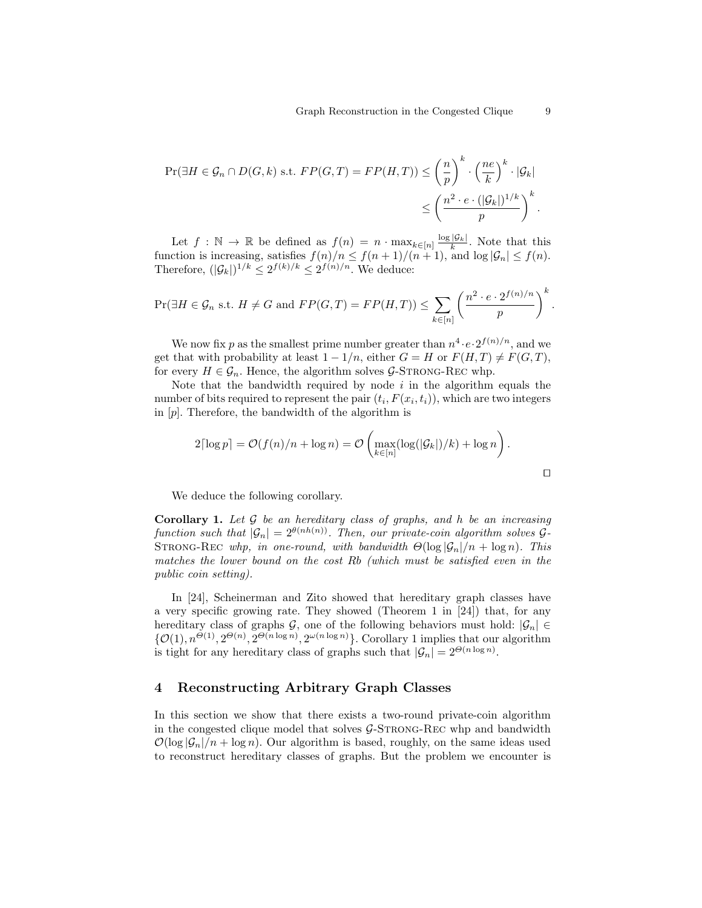$$
\Pr(\exists H \in \mathcal{G}_n \cap D(G, k) \text{ s.t. } FP(G, T) = FP(H, T)) \le \left(\frac{n}{p}\right)^k \cdot \left(\frac{ne}{k}\right)^k \cdot |\mathcal{G}_k|
$$
  

$$
\le \left(\frac{n^2 \cdot e \cdot (|\mathcal{G}_k|)^{1/k}}{p}\right)^k.
$$

Let  $f : \mathbb{N} \to \mathbb{R}$  be defined as  $f(n) = n \cdot \max_{k \in [n]} \frac{\log |\mathcal{G}_k|}{k}$ . Note that this function is increasing, satisfies  $f(n)/n \le f(n+1)/(n+1)$ , and  $\log |\mathcal{G}_n| \le f(n)$ . Therefore,  $(|\mathcal{G}_k|)^{1/k} \leq 2^{f(k)/k} \leq 2^{f(n)/n}$ . We deduce:

$$
\Pr(\exists H \in \mathcal{G}_n \text{ s.t. } H \neq G \text{ and } FP(G, T) = FP(H, T)) \le \sum_{k \in [n]} \left(\frac{n^2 \cdot e \cdot 2^{f(n)/n}}{p}\right)^k.
$$

We now fix p as the smallest prime number greater than  $n^4 \cdot e \cdot 2^{f(n)/n}$ , and we get that with probability at least  $1 - 1/n$ , either  $G = H$  or  $F(H, T) \neq F(G, T)$ , for every  $H \in \mathcal{G}_n$ . Hence, the algorithm solves  $\mathcal{G}\text{-STRONG-REC}$  whp.

Note that the bandwidth required by node  $i$  in the algorithm equals the number of bits required to represent the pair  $(t_i, F(x_i, t_i))$ , which are two integers in  $[p]$ . Therefore, the bandwidth of the algorithm is

$$
2\lceil \log p \rceil = \mathcal{O}(f(n)/n + \log n) = \mathcal{O}\left(\max_{k \in [n]} (\log(|\mathcal{G}_k|)/k) + \log n\right).
$$

 $\Box$ 

We deduce the following corollary.

**Corollary 1.** Let  $\mathcal G$  be an hereditary class of graphs, and h be an increasing function such that  $|\mathcal{G}_n| = 2^{\theta(nh(n))}$ . Then, our private-coin algorithm solves  $\mathcal{G}_1$ STRONG-REC whp, in one-round, with bandwidth  $\Theta(\log |\mathcal{G}_n|/n + \log n)$ . This matches the lower bound on the cost Rb (which must be satisfied even in the public coin setting).

In [24], Scheinerman and Zito showed that hereditary graph classes have a very specific growing rate. They showed (Theorem 1 in [24]) that, for any hereditary class of graphs G, one of the following behaviors must hold:  $|\mathcal{G}_n| \in$  $\{\mathcal{O}(1), n^{\Theta(1)}, 2^{\Theta(n)}, 2^{\Theta(n \log n)}, 2^{\omega(n \log n)}\}\$ . Corollary 1 implies that our algorithm is tight for any hereditary class of graphs such that  $|\mathcal{G}_n| = 2^{\Theta(n \log n)}$ .

# 4 Reconstructing Arbitrary Graph Classes

In this section we show that there exists a two-round private-coin algorithm in the congested clique model that solves  $\mathcal{G}\text{-STRONG-REC}$  whp and bandwidth  $\mathcal{O}(\log |\mathcal{G}_n|/n + \log n)$ . Our algorithm is based, roughly, on the same ideas used to reconstruct hereditary classes of graphs. But the problem we encounter is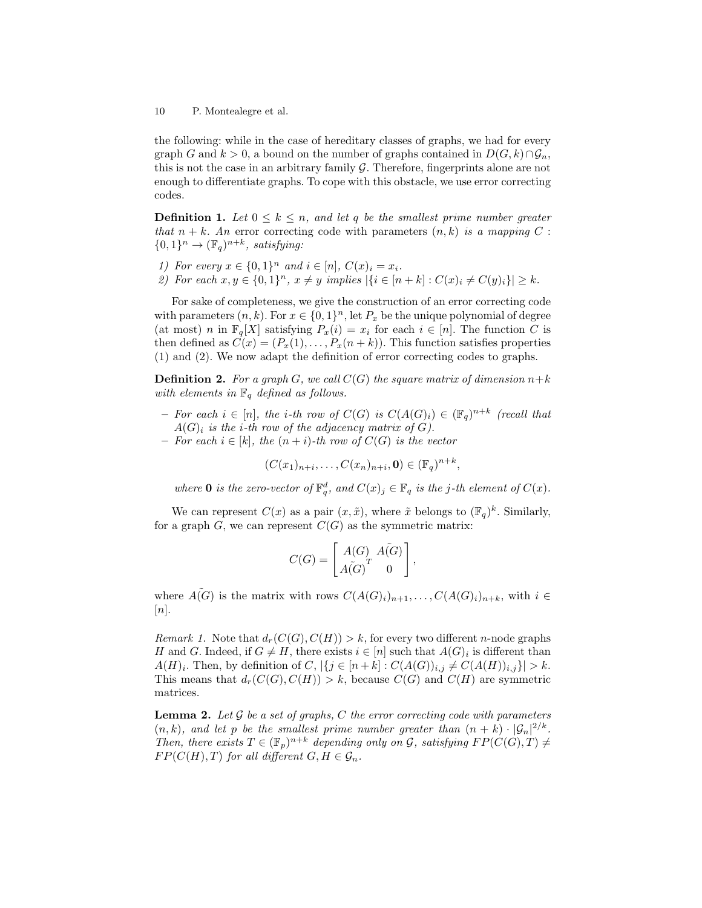the following: while in the case of hereditary classes of graphs, we had for every graph G and  $k > 0$ , a bound on the number of graphs contained in  $D(G, k) \cap \mathcal{G}_n$ , this is not the case in an arbitrary family  $G$ . Therefore, fingerprints alone are not enough to differentiate graphs. To cope with this obstacle, we use error correcting codes.

**Definition 1.** Let  $0 \leq k \leq n$ , and let q be the smallest prime number greater that  $n + k$ . An error correcting code with parameters  $(n, k)$  is a mapping C :  ${0,1}^n \rightarrow (\mathbb{F}_q)^{n+k}$ , satisfying:

- 1) For every  $x \in \{0,1\}^n$  and  $i \in [n]$ ,  $C(x)_i = x_i$ .
- 2) For each  $x, y \in \{0, 1\}^n$ ,  $x \neq y$  implies  $|\{i \in [n+k] : C(x)_i \neq C(y)_i\}| \geq k$ .

For sake of completeness, we give the construction of an error correcting code with parameters  $(n, k)$ . For  $x \in \{0, 1\}^n$ , let  $P_x$  be the unique polynomial of degree (at most) n in  $\mathbb{F}_q[X]$  satisfying  $P_x(i) = x_i$  for each  $i \in [n]$ . The function C is then defined as  $C(x) = (P_x(1), \ldots, P_x(n+k))$ . This function satisfies properties (1) and (2). We now adapt the definition of error correcting codes to graphs.

**Definition 2.** For a graph G, we call  $C(G)$  the square matrix of dimension  $n+k$ with elements in  $\mathbb{F}_q$  defined as follows.

- $-$  For each i ∈ [n], the i-th row of  $C(G)$  is  $C(A(G)_i) \in (\mathbb{F}_q)^{n+k}$  (recall that  $A(G)_i$  is the *i*-th row of the adjacency matrix of G).
- For each  $i \in [k]$ , the  $(n+i)$ -th row of  $C(G)$  is the vector
	- $(C(x_1)_{n+i},...,C(x_n)_{n+i},\mathbf{0}) \in (\mathbb{F}_q)^{n+k},$

where **0** is the zero-vector of  $\mathbb{F}_q^d$ , and  $C(x)_j \in \mathbb{F}_q$  is the j-th element of  $C(x)$ .

We can represent  $C(x)$  as a pair  $(x, \tilde{x})$ , where  $\tilde{x}$  belongs to  $(\mathbb{F}_q)^k$ . Similarly, for a graph  $G$ , we can represent  $C(G)$  as the symmetric matrix:

$$
C(G) = \begin{bmatrix} A(G) & A(G) \\ A(G)^T & 0 \end{bmatrix},
$$

where  $\tilde{A(G)}$  is the matrix with rows  $C(A(G_i))_{n+1}, \ldots, C(A(G)_i)_{n+k}$ , with  $i \in$  $[n]$ .

*Remark 1.* Note that  $d_r(C(G), C(H)) > k$ , for every two different *n*-node graphs H and G. Indeed, if  $G \neq H$ , there exists  $i \in [n]$  such that  $A(G)_i$  is different than  $A(H)_i$ . Then, by definition of  $C$ ,  $|\{j \in [n+k] : C(A(G))_{i,j} \neq C(A(H))_{i,j}\}| > k$ . This means that  $d_r(C(G), C(H)) > k$ , because  $C(G)$  and  $C(H)$  are symmetric matrices.

**Lemma 2.** Let  $\mathcal G$  be a set of graphs,  $C$  the error correcting code with parameters  $(n, k)$ , and let p be the smallest prime number greater than  $(n + k) \cdot |\mathcal{G}_n|^{2/k}$ . Then, there exists  $T \in (\mathbb{F}_p)^{n+k}$  depending only on G, satisfying  $FP(C(G), T) \neq$  $FP(C(H), T)$  for all different  $G, H \in \mathcal{G}_n$ .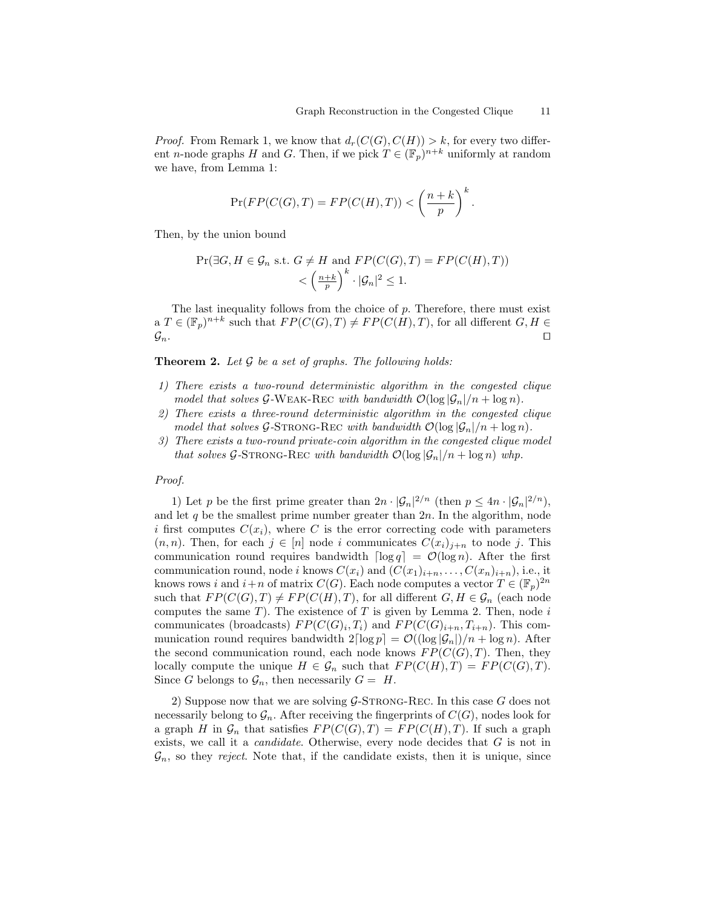*Proof.* From Remark 1, we know that  $d_r(C(G), C(H)) > k$ , for every two different *n*-node graphs H and G. Then, if we pick  $T \in (\mathbb{F}_p)^{n+k}$  uniformly at random we have, from Lemma 1:

$$
\Pr(FP(C(G),T) = FP(C(H),T)) < \left(\frac{n+k}{p}\right)^k.
$$

Then, by the union bound

$$
\Pr(\exists G, H \in \mathcal{G}_n \text{ s.t. } G \neq H \text{ and } FP(C(G), T) = FP(C(H), T))
$$
  

$$
< \left(\frac{n+k}{p}\right)^k \cdot |\mathcal{G}_n|^2 \le 1.
$$

The last inequality follows from the choice of  $p$ . Therefore, there must exist a  $T \in (\mathbb{F}_p)^{n+k}$  such that  $FP(C(G), T) \neq FP(C(H), T)$ , for all different  $G, H \in$  $\mathcal{G}_n$ .

**Theorem 2.** Let  $\mathcal G$  be a set of graphs. The following holds:

- 1) There exists a two-round deterministic algorithm in the congested clique model that solves  $G$ -WEAK-REC with bandwidth  $\mathcal{O}(\log |\mathcal{G}_n|/n + \log n)$ .
- 2) There exists a three-round deterministic algorithm in the congested clique model that solves G-STRONG-REC with bandwidth  $\mathcal{O}(\log |\mathcal{G}_n|/n + \log n)$ .
- 3) There exists a two-round private-coin algorithm in the congested clique model that solves G-STRONG-REC with bandwidth  $\mathcal{O}(\log |\mathcal{G}_n|/n + \log n)$  whp.

#### Proof.

1) Let p be the first prime greater than  $2n \cdot |\mathcal{G}_n|^{2/n}$  (then  $p \le 4n \cdot |\mathcal{G}_n|^{2/n}$ ), and let  $q$  be the smallest prime number greater than  $2n$ . In the algorithm, node i first computes  $C(x_i)$ , where C is the error correcting code with parameters  $(n, n)$ . Then, for each  $j \in [n]$  node i communicates  $C(x_i)_{i+n}$  to node j. This communication round requires bandwidth  $\lceil \log q \rceil = \mathcal{O}(\log n)$ . After the first communication round, node i knows  $C(x_i)$  and  $(C(x_1)_{i+n}, \ldots, C(x_n)_{i+n})$ , i.e., it knows rows i and  $i+n$  of matrix  $C(G)$ . Each node computes a vector  $T \in (\mathbb{F}_p)^{2n}$ such that  $FP(C(G), T) \neq FP(C(H), T)$ , for all different  $G, H \in \mathcal{G}_n$  (each node computes the same  $T$ ). The existence of  $T$  is given by Lemma 2. Then, node  $i$ communicates (broadcasts)  $FP(C(G)_i, T_i)$  and  $FP(C(G)_{i+n}, T_{i+n})$ . This communication round requires bandwidth  $2\lceil \log p \rceil = \mathcal{O}((\log |\mathcal{G}_n|)/n + \log n)$ . After the second communication round, each node knows  $FP(C(G), T)$ . Then, they locally compute the unique  $H \in \mathcal{G}_n$  such that  $FP(C(H), T) = FP(C(G), T)$ . Since G belongs to  $\mathcal{G}_n$ , then necessarily  $G = H$ .

2) Suppose now that we are solving  $G$ -STRONG-REC. In this case G does not necessarily belong to  $\mathcal{G}_n$ . After receiving the fingerprints of  $C(G)$ , nodes look for a graph H in  $\mathcal{G}_n$  that satisfies  $FP(C(G), T) = FP(C(H), T)$ . If such a graph exists, we call it a *candidate*. Otherwise, every node decides that  $G$  is not in  $\mathcal{G}_n$ , so they reject. Note that, if the candidate exists, then it is unique, since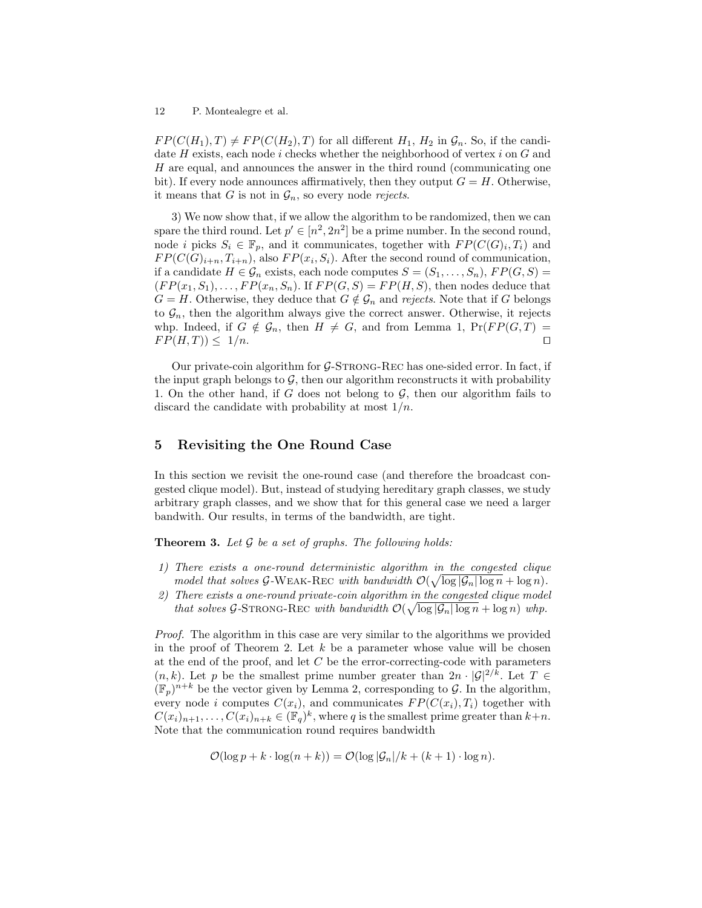$FP(C(H_1), T) \neq FP(C(H_2), T)$  for all different  $H_1, H_2$  in  $\mathcal{G}_n$ . So, if the candidate  $H$  exists, each node i checks whether the neighborhood of vertex i on  $G$  and H are equal, and announces the answer in the third round (communicating one bit). If every node announces affirmatively, then they output  $G = H$ . Otherwise, it means that G is not in  $\mathcal{G}_n$ , so every node rejects.

3) We now show that, if we allow the algorithm to be randomized, then we can spare the third round. Let  $p' \in [n^2, 2n^2]$  be a prime number. In the second round, node *i* picks  $S_i \in \mathbb{F}_p$ , and it communicates, together with  $FP(C(G)_i, T_i)$  and  $FP(C(G)_{i+n}, T_{i+n})$ , also  $FP(x_i, S_i)$ . After the second round of communication, if a candidate  $H \in \mathcal{G}_n$  exists, each node computes  $S = (S_1, \ldots, S_n)$ ,  $FP(G, S)$  $(FP(x_1, S_1), \ldots, FP(x_n, S_n)$ . If  $FP(G, S) = FP(H, S)$ , then nodes deduce that  $G = H$ . Otherwise, they deduce that  $G \notin \mathcal{G}_n$  and rejects. Note that if G belongs to  $\mathcal{G}_n$ , then the algorithm always give the correct answer. Otherwise, it rejects whp. Indeed, if  $G \notin \mathcal{G}_n$ , then  $H \neq G$ , and from Lemma 1,  $Pr(FP(G, T)) =$  $FP(H, T) \leq 1/n.$ 

Our private-coin algorithm for  $G$ -STRONG-REC has one-sided error. In fact, if the input graph belongs to  $\mathcal{G}$ , then our algorithm reconstructs it with probability 1. On the other hand, if G does not belong to  $\mathcal{G}$ , then our algorithm fails to discard the candidate with probability at most  $1/n$ .

# 5 Revisiting the One Round Case

In this section we revisit the one-round case (and therefore the broadcast congested clique model). But, instead of studying hereditary graph classes, we study arbitrary graph classes, and we show that for this general case we need a larger bandwith. Our results, in terms of the bandwidth, are tight.

**Theorem 3.** Let  $\mathcal G$  be a set of graphs. The following holds:

- 1) There exists a one-round deterministic algorithm in the congested clique model that solves G-WEAK-REC with bandwidth  $\mathcal{O}(\sqrt{\log |\mathcal{G}_n| \log n} + \log n)$ .
- 2) There exists a one-round private-coin algorithm in the congested clique model that solves G-STRONG-REC with bandwidth  $\mathcal{O}(\sqrt{\log |\mathcal{G}_n| \log n} + \log n)$  whp.

Proof. The algorithm in this case are very similar to the algorithms we provided in the proof of Theorem 2. Let  $k$  be a parameter whose value will be chosen at the end of the proof, and let  $C$  be the error-correcting-code with parameters  $(n, k)$ . Let p be the smallest prime number greater than  $2n \cdot |\mathcal{G}|^{2/k}$ . Let  $T \in$  $(\mathbb{F}_p)^{n+k}$  be the vector given by Lemma 2, corresponding to G. In the algorithm, every node i computes  $C(x_i)$ , and communicates  $FP(C(x_i), T_i)$  together with  $C(x_i)_{n+1}, \ldots, C(x_i)_{n+k} \in (\mathbb{F}_q)^k$ , where q is the smallest prime greater than  $k+n$ . Note that the communication round requires bandwidth

$$
\mathcal{O}(\log p + k \cdot \log(n + k)) = \mathcal{O}(\log |\mathcal{G}_n|/k + (k+1) \cdot \log n).
$$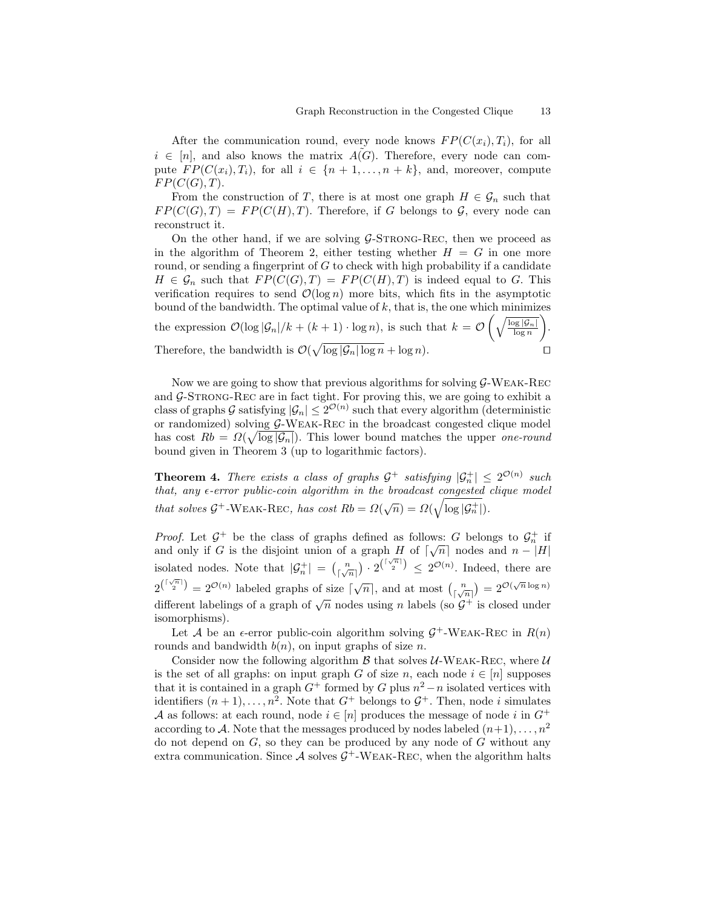After the communication round, every node knows  $FP(C(x_i), T_i)$ , for all  $i \in [n]$ , and also knows the matrix  $A(G)$ . Therefore, every node can compute  $FP(C(x_i), T_i)$ , for all  $i \in \{n+1, \ldots, n+k\}$ , and, moreover, compute  $FP(C(G), T)$ .

From the construction of T, there is at most one graph  $H \in \mathcal{G}_n$  such that  $FP(C(G), T) = FP(C(H), T)$ . Therefore, if G belongs to G, every node can reconstruct it.

On the other hand, if we are solving  $G$ -STRONG-REC, then we proceed as in the algorithm of Theorem 2, either testing whether  $H = G$  in one more round, or sending a fingerprint of  $G$  to check with high probability if a candidate  $H \in \mathcal{G}_n$  such that  $FP(C(G), T) = FP(C(H), T)$  is indeed equal to G. This verification requires to send  $\mathcal{O}(\log n)$  more bits, which fits in the asymptotic bound of the bandwidth. The optimal value of  $k$ , that is, the one which minimizes the expression  $\mathcal{O}(\log |\mathcal{G}_n|/k + (k+1) \cdot \log n)$ , is such that  $k = \mathcal{O}\left(\sqrt{\frac{\log |\mathcal{G}_n|}{\log n}}\right)$  . Therefore, the bandwidth is  $\mathcal{O}(\sqrt{\log |\mathcal{G}_n| \log n} + \log n)$ .

Now we are going to show that previous algorithms for solving G-Weak-Rec and  $G$ -STRONG-REC are in fact tight. For proving this, we are going to exhibit a class of graphs G satisfying  $|\mathcal{G}_n| \leq 2^{\mathcal{O}(n)}$  such that every algorithm (deterministic or randomized) solving G-Weak-Rec in the broadcast congested clique model has cost  $Rb = \Omega(\sqrt{\log |\mathcal{G}_n|})$ . This lower bound matches the upper one-round bound given in Theorem 3 (up to logarithmic factors).

**Theorem 4.** There exists a class of graphs  $\mathcal{G}^+$  satisfying  $|\mathcal{G}_n^+| \leq 2^{\mathcal{O}(n)}$  such that, any  $\epsilon$ -error public-coin algorithm in the broadcast congested clique model that solves  $\mathcal{G}^+$ -WEAK-REC, has cost  $Rb = \Omega(\sqrt{n}) = \Omega(\sqrt{\log |\mathcal{G}_n^+|}).$ 

*Proof.* Let  $\mathcal{G}^+$  be the class of graphs defined as follows: G belongs to  $\mathcal{G}_n^+$  if *Froof.* Let  $\mathcal{G}$  be the class of graphs defined as follows:  $G$  belongs to  $\mathcal{G}_n$  in and only if G is the disjoint union of a graph H of  $\lceil \sqrt{n} \rceil$  nodes and  $n - |H|$ isolated nodes. Note that  $|\mathcal{G}_n^+| = \binom{n}{\lfloor \sqrt{n} \rfloor} \cdot 2^{\binom{\lceil \sqrt{n} \rceil}{2}} \leq 2^{\mathcal{O}(n)}$ . Indeed, there are  $2^{\binom{\lceil \sqrt{n} \rceil}{2}} = 2^{\mathcal{O}(n)}$  labeled graphs of size  $\lceil \sqrt{n} \rceil$ , and at most  $\binom{n}{\lceil \sqrt{n} \rceil} = 2^{\mathcal{O}(\sqrt{n}\log n)}$ different labelings of a graph of  $\sqrt{n}$  nodes using n labels (so  $G^+$  is closed under isomorphisms).

Let A be an  $\epsilon$ -error public-coin algorithm solving  $\mathcal{G}^+$ -WEAK-REC in  $R(n)$ rounds and bandwidth  $b(n)$ , on input graphs of size n.

Consider now the following algorithm  $\beta$  that solves U-WEAK-REC, where U is the set of all graphs: on input graph G of size n, each node  $i \in [n]$  supposes that it is contained in a graph  $G^+$  formed by G plus  $n^2 - n$  isolated vertices with identifiers  $(n+1), \ldots, n^2$ . Note that  $G^+$  belongs to  $G^+$ . Then, node i simulates A as follows: at each round, node  $i \in [n]$  produces the message of node i in  $G^+$ according to A. Note that the messages produced by nodes labeled  $(n+1), \ldots, n^2$ do not depend on  $G$ , so they can be produced by any node of  $G$  without any extra communication. Since  $\mathcal A$  solves  $\mathcal G^+$ -WEAK-REC, when the algorithm halts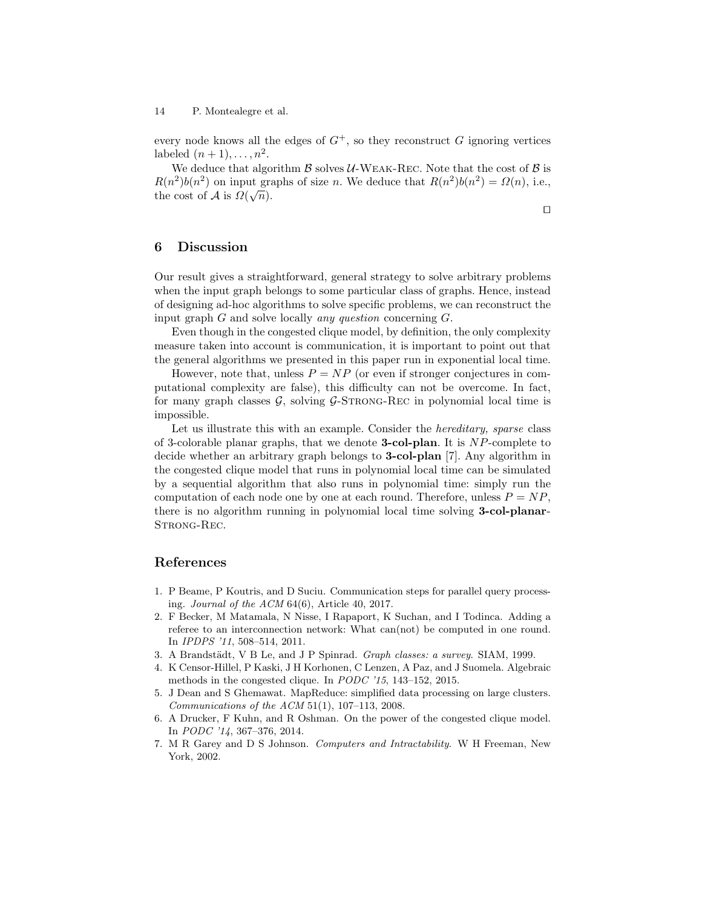every node knows all the edges of  $G^+$ , so they reconstruct G ignoring vertices labeled  $(n+1), \ldots, n^2$ .

We deduce that algorithm  $\beta$  solves U-WEAK-REC. Note that the cost of  $\beta$  is  $R(n^2)b(n^2)$  on input graphs of size *n*. We deduce that  $R(n^2)b(n^2) = \Omega(n)$ , i.e., the cost of A is  $\Omega(\sqrt{n})$ .

 $\Box$ 

## 6 Discussion

Our result gives a straightforward, general strategy to solve arbitrary problems when the input graph belongs to some particular class of graphs. Hence, instead of designing ad-hoc algorithms to solve specific problems, we can reconstruct the input graph  $G$  and solve locally *any question* concerning  $G$ .

Even though in the congested clique model, by definition, the only complexity measure taken into account is communication, it is important to point out that the general algorithms we presented in this paper run in exponential local time.

However, note that, unless  $P = NP$  (or even if stronger conjectures in computational complexity are false), this difficulty can not be overcome. In fact, for many graph classes  $G$ , solving  $G$ -STRONG-REC in polynomial local time is impossible.

Let us illustrate this with an example. Consider the *hereditary*, *sparse* class of 3-colorable planar graphs, that we denote **3-col-plan**. It is  $NP$ -complete to decide whether an arbitrary graph belongs to 3-col-plan [7]. Any algorithm in the congested clique model that runs in polynomial local time can be simulated by a sequential algorithm that also runs in polynomial time: simply run the computation of each node one by one at each round. Therefore, unless  $P = NP$ , there is no algorithm running in polynomial local time solving 3-col-planar-STRONG-REC.

# References

- 1. P Beame, P Koutris, and D Suciu. Communication steps for parallel query processing. Journal of the ACM 64(6), Article 40, 2017.
- 2. F Becker, M Matamala, N Nisse, I Rapaport, K Suchan, and I Todinca. Adding a referee to an interconnection network: What can(not) be computed in one round. In IPDPS '11, 508–514, 2011.
- 3. A Brandstädt, V B Le, and J P Spinrad. Graph classes: a survey. SIAM, 1999.
- 4. K Censor-Hillel, P Kaski, J H Korhonen, C Lenzen, A Paz, and J Suomela. Algebraic methods in the congested clique. In PODC '15, 143–152, 2015.
- 5. J Dean and S Ghemawat. MapReduce: simplified data processing on large clusters. Communications of the ACM 51(1), 107–113, 2008.
- 6. A Drucker, F Kuhn, and R Oshman. On the power of the congested clique model. In PODC '14, 367–376, 2014.
- 7. M R Garey and D S Johnson. Computers and Intractability. W H Freeman, New York, 2002.